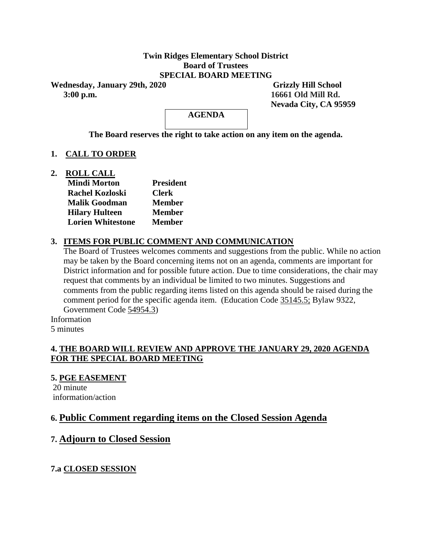### **Twin Ridges Elementary School District Board of Trustees SPECIAL BOARD MEETING**

Wednesday, January 29th, 2020 Grizzly Hill School  **3:00 p.m. 16661 Old Mill Rd.**

 **Nevada City, CA 95959**

**AGENDA**

**The Board reserves the right to take action on any item on the agenda.**

# **1. CALL TO ORDER**

**2. ROLL CALL**

| <b>Mindi Morton</b>      | <b>President</b> |
|--------------------------|------------------|
| <b>Rachel Kozloski</b>   | <b>Clerk</b>     |
| <b>Malik Goodman</b>     | <b>Member</b>    |
| <b>Hilary Hulteen</b>    | <b>Member</b>    |
| <b>Lorien Whitestone</b> | <b>Member</b>    |

# **3. ITEMS FOR PUBLIC COMMENT AND COMMUNICATION**

The Board of Trustees welcomes comments and suggestions from the public. While no action may be taken by the Board concerning items not on an agenda, comments are important for District information and for possible future action. Due to time considerations, the chair may request that comments by an individual be limited to two minutes. Suggestions and comments from the public regarding items listed on this agenda should be raised during the comment period for the specific agenda item. (Education Code 35145.5; Bylaw 9322, Government Code 54954.3)

Information 5 minutes

# **4. THE BOARD WILL REVIEW AND APPROVE THE JANUARY 29, 2020 AGENDA FOR THE SPECIAL BOARD MEETING**

**5. PGE EASEMENT**

20 minute information/action

# **6. Public Comment regarding items on the Closed Session Agenda**

# **7. Adjourn to Closed Session**

**7.a CLOSED SESSION**